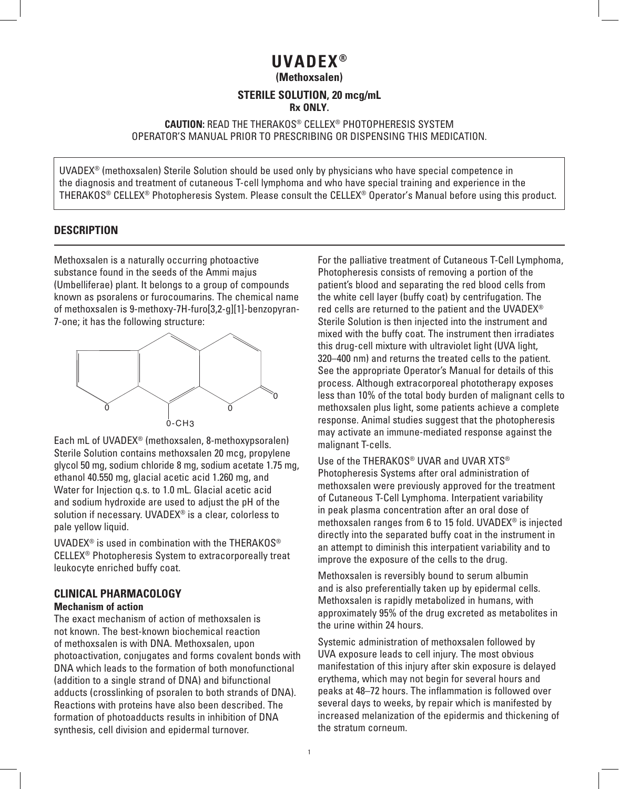# **UVADEX ®**

**(Methoxsalen)**

#### **STERILE SOLUTION, 20 mcg/mL Rx ONLY.**

### **CAUTION:** READ THE THERAKOS® CELLEX® PHOTOPHERESIS SYSTEM OPERATOR'S MANUAL PRIOR TO PRESCRIBING OR DISPENSING THIS MEDICATION.

UVADEX® (methoxsalen) Sterile Solution should be used only by physicians who have special competence in the diagnosis and treatment of cutaneous T-cell lymphoma and who have special training and experience in the THERAKOS® CELLEX® Photopheresis System. Please consult the CELLEX® Operator's Manual before using this product.

## **DESCRIPTION**

Methoxsalen is a naturally occurring photoactive substance found in the seeds of the Ammi majus (Umbelliferae) plant. It belongs to a group of compounds known as psoralens or furocoumarins. The chemical name of methoxsalen is 9-methoxy-7H-furo[3,2-g][1]-benzopyran-7-one; it has the following structure:



Each mL of UVADEX® (methoxsalen, 8-methoxypsoralen) Sterile Solution contains methoxsalen 20 mcg, propylene glycol 50 mg, sodium chloride 8 mg, sodium acetate 1.75 mg, ethanol 40.550 mg, glacial acetic acid 1.260 mg, and Water for Injection q.s. to 1.0 mL. Glacial acetic acid and sodium hydroxide are used to adjust the pH of the solution if necessary. UVADEX® is a clear, colorless to pale yellow liquid.

UVADEX<sup>®</sup> is used in combination with the THERAKOS<sup>®</sup> CELLEX® Photopheresis System to extracorporeally treat leukocyte enriched buffy coat.

#### **CLINICAL PHARMACOLOGY Mechanism of action**

The exact mechanism of action of methoxsalen is not known. The best-known biochemical reaction of methoxsalen is with DNA. Methoxsalen, upon photoactivation, conjugates and forms covalent bonds with DNA which leads to the formation of both monofunctional (addition to a single strand of DNA) and bifunctional adducts (crosslinking of psoralen to both strands of DNA). Reactions with proteins have also been described. The formation of photoadducts results in inhibition of DNA synthesis, cell division and epidermal turnover.

For the palliative treatment of Cutaneous T-Cell Lymphoma, Photopheresis consists of removing a portion of the patient's blood and separating the red blood cells from the white cell layer (buffy coat) by centrifugation. The red cells are returned to the patient and the UVADEX® Sterile Solution is then injected into the instrument and mixed with the buffy coat. The instrument then irradiates this drug-cell mixture with ultraviolet light (UVA light, 320–400 nm) and returns the treated cells to the patient. See the appropriate Operator's Manual for details of this process. Although extracorporeal phototherapy exposes less than 10% of the total body burden of malignant cells to methoxsalen plus light, some patients achieve a complete response. Animal studies suggest that the photopheresis may activate an immune-mediated response against the malignant T-cells.

Use of the THERAKOS<sup>®</sup> UVAR and UVAR XTS<sup>®</sup> Photopheresis Systems after oral administration of methoxsalen were previously approved for the treatment of Cutaneous T-Cell Lymphoma. Interpatient variability in peak plasma concentration after an oral dose of methoxsalen ranges from 6 to 15 fold. UVADEX® is injected directly into the separated buffy coat in the instrument in an attempt to diminish this interpatient variability and to improve the exposure of the cells to the drug.

Methoxsalen is reversibly bound to serum albumin and is also preferentially taken up by epidermal cells. Methoxsalen is rapidly metabolized in humans, with approximately 95% of the drug excreted as metabolites in the urine within 24 hours.

Systemic administration of methoxsalen followed by UVA exposure leads to cell injury. The most obvious manifestation of this injury after skin exposure is delayed erythema, which may not begin for several hours and peaks at 48–72 hours. The inflammation is followed over several days to weeks, by repair which is manifested by increased melanization of the epidermis and thickening of the stratum corneum.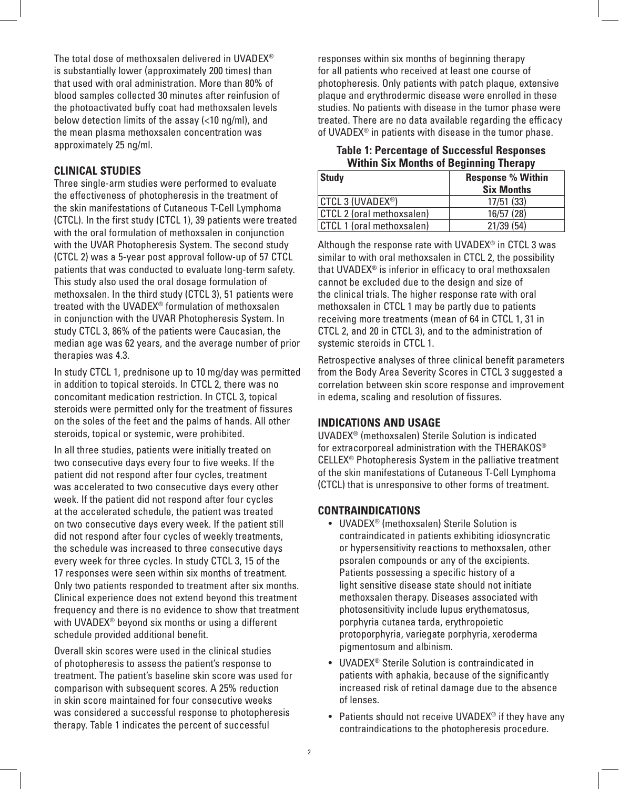The total dose of methoxsalen delivered in UVADEX® is substantially lower (approximately 200 times) than that used with oral administration. More than 80% of blood samples collected 30 minutes after reinfusion of the photoactivated buffy coat had methoxsalen levels below detection limits of the assay (<10 ng/ml), and the mean plasma methoxsalen concentration was approximately 25 ng/ml.

# **CLINICAL STUDIES**

Three single-arm studies were performed to evaluate the effectiveness of photopheresis in the treatment of the skin manifestations of Cutaneous T-Cell Lymphoma (CTCL). In the first study (CTCL 1), 39 patients were treated with the oral formulation of methoxsalen in conjunction with the UVAR Photopheresis System. The second study (CTCL 2) was a 5-year post approval follow-up of 57 CTCL patients that was conducted to evaluate long-term safety. This study also used the oral dosage formulation of methoxsalen. In the third study (CTCL 3), 51 patients were treated with the UVADEX® formulation of methoxsalen in conjunction with the UVAR Photopheresis System. In study CTCL 3, 86% of the patients were Caucasian, the median age was 62 years, and the average number of prior therapies was 4.3.

In study CTCL 1, prednisone up to 10 mg/day was permitted in addition to topical steroids. In CTCL 2, there was no concomitant medication restriction. In CTCL 3, topical steroids were permitted only for the treatment of fissures on the soles of the feet and the palms of hands. All other steroids, topical or systemic, were prohibited.

In all three studies, patients were initially treated on two consecutive days every four to five weeks. If the patient did not respond after four cycles, treatment was accelerated to two consecutive days every other week. If the patient did not respond after four cycles at the accelerated schedule, the patient was treated on two consecutive days every week. If the patient still did not respond after four cycles of weekly treatments, the schedule was increased to three consecutive days every week for three cycles. In study CTCL 3, 15 of the 17 responses were seen within six months of treatment. Only two patients responded to treatment after six months. Clinical experience does not extend beyond this treatment frequency and there is no evidence to show that treatment with UVADEX® beyond six months or using a different schedule provided additional benefit.

Overall skin scores were used in the clinical studies of photopheresis to assess the patient's response to treatment. The patient's baseline skin score was used for comparison with subsequent scores. A 25% reduction in skin score maintained for four consecutive weeks was considered a successful response to photopheresis therapy. Table 1 indicates the percent of successful

responses within six months of beginning therapy for all patients who received at least one course of photopheresis. Only patients with patch plaque, extensive plaque and erythrodermic disease were enrolled in these studies. No patients with disease in the tumor phase were treated. There are no data available regarding the efficacy of UVADEX® in patients with disease in the tumor phase.

## **Table 1: Percentage of Successful Responses Within Six Months of Beginning Therapy**

| Study                     | <b>Response % Within</b><br><b>Six Months</b> |
|---------------------------|-----------------------------------------------|
| CTCL 3 (UVADEX®)          | 17/51(33)                                     |
| CTCL 2 (oral methoxsalen) | 16/57 (28)                                    |
| CTCL 1 (oral methoxsalen) | 21/39(54)                                     |

Although the response rate with UVADEX<sup>®</sup> in CTCL 3 was similar to with oral methoxsalen in CTCL 2, the possibility that UVADEX® is inferior in efficacy to oral methoxsalen cannot be excluded due to the design and size of the clinical trials. The higher response rate with oral methoxsalen in CTCL 1 may be partly due to patients receiving more treatments (mean of 64 in CTCL 1, 31 in CTCL 2, and 20 in CTCL 3), and to the administration of systemic steroids in CTCL 1.

Retrospective analyses of three clinical benefit parameters from the Body Area Severity Scores in CTCL 3 suggested a correlation between skin score response and improvement in edema, scaling and resolution of fissures.

## **INDICATIONS AND USAGE**

UVADEX® (methoxsalen) Sterile Solution is indicated for extracorporeal administration with the THERAKOS® CELLEX® Photopheresis System in the palliative treatment of the skin manifestations of Cutaneous T-Cell Lymphoma (CTCL) that is unresponsive to other forms of treatment.

## **CONTRAINDICATIONS**

- UVADEX® (methoxsalen) Sterile Solution is contraindicated in patients exhibiting idiosyncratic or hypersensitivity reactions to methoxsalen, other psoralen compounds or any of the excipients. Patients possessing a specific history of a light sensitive disease state should not initiate methoxsalen therapy. Diseases associated with photosensitivity include lupus erythematosus, porphyria cutanea tarda, erythropoietic protoporphyria, variegate porphyria, xeroderma pigmentosum and albinism.
- UVADEX® Sterile Solution is contraindicated in patients with aphakia, because of the significantly increased risk of retinal damage due to the absence of lenses.
- Patients should not receive UVADEX<sup>®</sup> if they have any contraindications to the photopheresis procedure.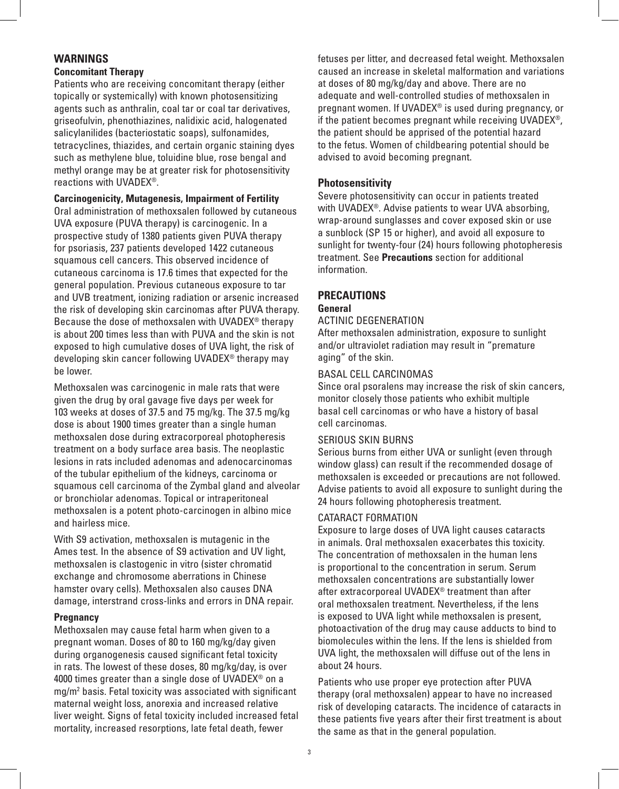## **WARNINGS**

## **Concomitant Therapy**

Patients who are receiving concomitant therapy (either topically or systemically) with known photosensitizing agents such as anthralin, coal tar or coal tar derivatives, griseofulvin, phenothiazines, nalidixic acid, halogenated salicylanilides (bacteriostatic soaps), sulfonamides, tetracyclines, thiazides, and certain organic staining dyes such as methylene blue, toluidine blue, rose bengal and methyl orange may be at greater risk for photosensitivity reactions with UVADEX®.

**Carcinogenicity, Mutagenesis, Impairment of Fertility** 

Oral administration of methoxsalen followed by cutaneous UVA exposure (PUVA therapy) is carcinogenic. In a prospective study of 1380 patients given PUVA therapy for psoriasis, 237 patients developed 1422 cutaneous squamous cell cancers. This observed incidence of cutaneous carcinoma is 17.6 times that expected for the general population. Previous cutaneous exposure to tar and UVB treatment, ionizing radiation or arsenic increased the risk of developing skin carcinomas after PUVA therapy. Because the dose of methoxsalen with UVADEX® therapy is about 200 times less than with PUVA and the skin is not exposed to high cumulative doses of UVA light, the risk of developing skin cancer following UVADEX® therapy may be lower.

Methoxsalen was carcinogenic in male rats that were given the drug by oral gavage five days per week for 103 weeks at doses of 37.5 and 75 mg/kg. The 37.5 mg/kg dose is about 1900 times greater than a single human methoxsalen dose during extracorporeal photopheresis treatment on a body surface area basis. The neoplastic lesions in rats included adenomas and adenocarcinomas of the tubular epithelium of the kidneys, carcinoma or squamous cell carcinoma of the Zymbal gland and alveolar or bronchiolar adenomas. Topical or intraperitoneal methoxsalen is a potent photo-carcinogen in albino mice and hairless mice.

With S9 activation, methoxsalen is mutagenic in the Ames test. In the absence of S9 activation and UV light, methoxsalen is clastogenic in vitro (sister chromatid exchange and chromosome aberrations in Chinese hamster ovary cells). Methoxsalen also causes DNA damage, interstrand cross-links and errors in DNA repair.

#### **Pregnancy**

Methoxsalen may cause fetal harm when given to a pregnant woman. Doses of 80 to 160 mg/kg/day given during organogenesis caused significant fetal toxicity in rats. The lowest of these doses, 80 mg/kg/day, is over 4000 times greater than a single dose of UVADEX® on a mg/m<sup>2</sup> basis. Fetal toxicity was associated with significant maternal weight loss, anorexia and increased relative liver weight. Signs of fetal toxicity included increased fetal mortality, increased resorptions, late fetal death, fewer

fetuses per litter, and decreased fetal weight. Methoxsalen caused an increase in skeletal malformation and variations at doses of 80 mg/kg/day and above. There are no adequate and well-controlled studies of methoxsalen in pregnant women. If UVADEX® is used during pregnancy, or if the patient becomes pregnant while receiving UVADEX®, the patient should be apprised of the potential hazard to the fetus. Women of childbearing potential should be advised to avoid becoming pregnant.

## **Photosensitivity**

Severe photosensitivity can occur in patients treated with UVADEX®. Advise patients to wear UVA absorbing, wrap-around sunglasses and cover exposed skin or use a sunblock (SP 15 or higher), and avoid all exposure to sunlight for twenty-four (24) hours following photopheresis treatment. See **Precautions** section for additional information.

## **PRECAUTIONS**

#### **General**

#### ACTINIC DEGENERATION

After methoxsalen administration, exposure to sunlight and/or ultraviolet radiation may result in "premature aging" of the skin.

#### BASAL CELL CARCINOMAS

Since oral psoralens may increase the risk of skin cancers, monitor closely those patients who exhibit multiple basal cell carcinomas or who have a history of basal cell carcinomas.

#### SERIOUS SKIN BURNS

Serious burns from either UVA or sunlight (even through window glass) can result if the recommended dosage of methoxsalen is exceeded or precautions are not followed. Advise patients to avoid all exposure to sunlight during the 24 hours following photopheresis treatment.

#### CATARACT FORMATION

Exposure to large doses of UVA light causes cataracts in animals. Oral methoxsalen exacerbates this toxicity. The concentration of methoxsalen in the human lens is proportional to the concentration in serum. Serum methoxsalen concentrations are substantially lower after extracorporeal UVADEX® treatment than after oral methoxsalen treatment. Nevertheless, if the lens is exposed to UVA light while methoxsalen is present, photoactivation of the drug may cause adducts to bind to biomolecules within the lens. If the lens is shielded from UVA light, the methoxsalen will diffuse out of the lens in about 24 hours.

Patients who use proper eye protection after PUVA therapy (oral methoxsalen) appear to have no increased risk of developing cataracts. The incidence of cataracts in these patients five years after their first treatment is about the same as that in the general population.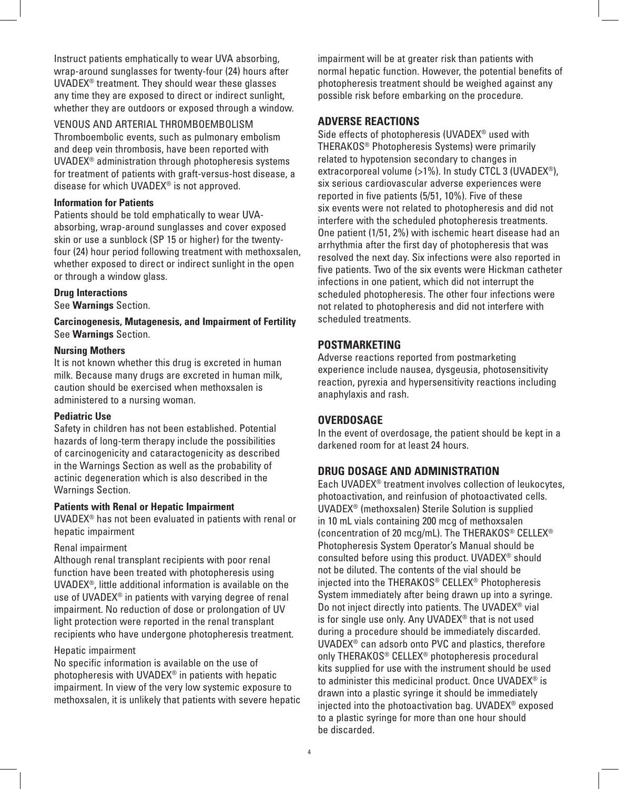Instruct patients emphatically to wear UVA absorbing, wrap-around sunglasses for twenty-four (24) hours after UVADEX® treatment. They should wear these glasses any time they are exposed to direct or indirect sunlight, whether they are outdoors or exposed through a window.

#### VENOUS AND ARTERIAL THROMBOEMBOLISM

Thromboembolic events, such as pulmonary embolism and deep vein thrombosis, have been reported with UVADEX® administration through photopheresis systems for treatment of patients with graft-versus-host disease, a disease for which UVADEX® is not approved.

#### **Information for Patients**

Patients should be told emphatically to wear UVAabsorbing, wrap-around sunglasses and cover exposed skin or use a sunblock (SP 15 or higher) for the twentyfour (24) hour period following treatment with methoxsalen, whether exposed to direct or indirect sunlight in the open or through a window glass.

#### **Drug Interactions**

See **Warnings** Section.

**Carcinogenesis, Mutagenesis, and Impairment of Fertility** See **Warnings** Section.

#### **Nursing Mothers**

It is not known whether this drug is excreted in human milk. Because many drugs are excreted in human milk, caution should be exercised when methoxsalen is administered to a nursing woman.

#### **Pediatric Use**

Safety in children has not been established. Potential hazards of long-term therapy include the possibilities of carcinogenicity and cataractogenicity as described in the Warnings Section as well as the probability of actinic degeneration which is also described in the Warnings Section.

#### **Patients with Renal or Hepatic Impairment**

UVADEX® has not been evaluated in patients with renal or hepatic impairment

#### Renal impairment

Although renal transplant recipients with poor renal function have been treated with photopheresis using UVADEX®, little additional information is available on the use of UVADEX® in patients with varying degree of renal impairment. No reduction of dose or prolongation of UV light protection were reported in the renal transplant recipients who have undergone photopheresis treatment.

#### Hepatic impairment

No specific information is available on the use of photopheresis with UVADEX® in patients with hepatic impairment. In view of the very low systemic exposure to methoxsalen, it is unlikely that patients with severe hepatic impairment will be at greater risk than patients with normal hepatic function. However, the potential benefits of photopheresis treatment should be weighed against any possible risk before embarking on the procedure.

# **ADVERSE REACTIONS**

Side effects of photopheresis (UVADEX® used with THERAKOS® Photopheresis Systems) were primarily related to hypotension secondary to changes in extracorporeal volume (>1%). In study CTCL 3 (UVADEX®), six serious cardiovascular adverse experiences were reported in five patients (5/51, 10%). Five of these six events were not related to photopheresis and did not interfere with the scheduled photopheresis treatments. One patient (1/51, 2%) with ischemic heart disease had an arrhythmia after the first day of photopheresis that was resolved the next day. Six infections were also reported in five patients. Two of the six events were Hickman catheter infections in one patient, which did not interrupt the scheduled photopheresis. The other four infections were not related to photopheresis and did not interfere with scheduled treatments.

#### **POSTMARKETING**

Adverse reactions reported from postmarketing experience include nausea, dysgeusia, photosensitivity reaction, pyrexia and hypersensitivity reactions including anaphylaxis and rash.

#### **OVERDOSAGE**

In the event of overdosage, the patient should be kept in a darkened room for at least 24 hours.

#### **DRUG DOSAGE AND ADMINISTRATION**

Each UVADEX® treatment involves collection of leukocytes, photoactivation, and reinfusion of photoactivated cells. UVADEX® (methoxsalen) Sterile Solution is supplied in 10 mL vials containing 200 mcg of methoxsalen (concentration of 20 mcg/mL). The THERAKOS® CELLEX® Photopheresis System Operator's Manual should be consulted before using this product. UVADEX® should not be diluted. The contents of the vial should be injected into the THERAKOS® CELLEX® Photopheresis System immediately after being drawn up into a syringe. Do not inject directly into patients. The UVADEX® vial is for single use only. Any UVADEX® that is not used during a procedure should be immediately discarded. UVADEX® can adsorb onto PVC and plastics, therefore only THERAKOS® CELLEX® photopheresis procedural kits supplied for use with the instrument should be used to administer this medicinal product. Once UVADEX® is drawn into a plastic syringe it should be immediately injected into the photoactivation bag. UVADEX® exposed to a plastic syringe for more than one hour should be discarded.